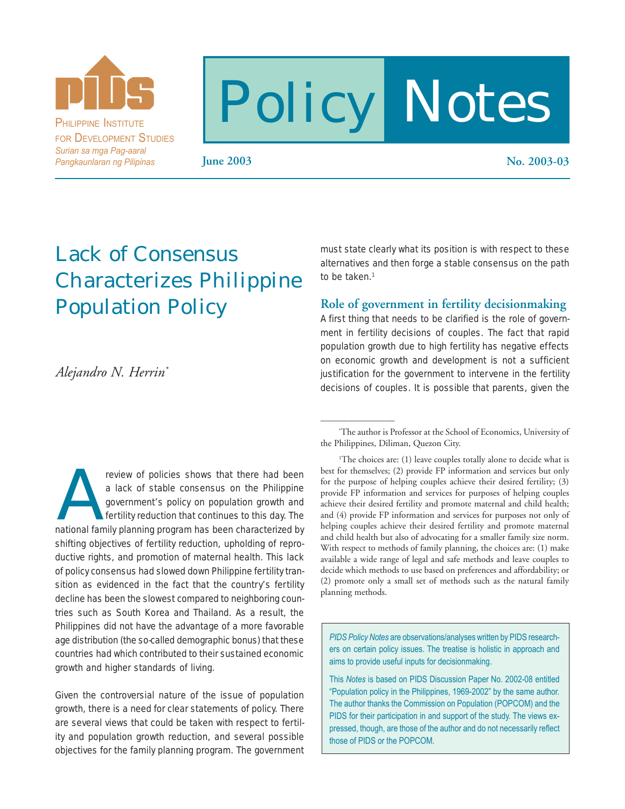

PHILIPPINE INSTITUTE FOR DEVELOPMENT STUDIES *Surian sa mga Pag-aaral Pangkaunlaran ng Pilipinas*

# Policy Notes

 $\overline{\phantom{a}}$  , where  $\overline{\phantom{a}}$ 

**June 2003 No. 2003-03**

# Lack of Consensus Characterizes Philippine Population Policy

*Alejandro N. Herrin\**

review of policies shows that there had been<br>
a lack of stable consensus on the Philippine<br>
government's policy on population growth and<br>
fertility reduction that continues to this day. The<br>
national family planning progra a lack of stable consensus on the Philippine government's policy on population growth and fertility reduction that continues to this day. The shifting objectives of fertility reduction, upholding of reproductive rights, and promotion of maternal health. This lack of policy consensus had slowed down Philippine fertility transition as evidenced in the fact that the country's fertility decline has been the slowest compared to neighboring countries such as South Korea and Thailand. As a result, the Philippines did not have the advantage of a more favorable age distribution (the so-called demographic bonus) that these countries had which contributed to their sustained economic growth and higher standards of living.

Given the controversial nature of the issue of population growth, there is a need for clear statements of policy. There are several views that could be taken with respect to fertility and population growth reduction, and several possible objectives for the family planning program. The government must state clearly what its position is with respect to these alternatives and then forge a stable consensus on the path to be taken.<sup>1</sup>

### **Role of government in fertility decisionmaking**

A first thing that needs to be clarified is the role of government in fertility decisions of couples. The fact that rapid population growth due to high fertility has negative effects on economic growth and development is not a sufficient justification for the government to intervene in the fertility decisions of couples. It is possible that parents, given the

<sup>1</sup>The choices are: (1) leave couples totally alone to decide what is best for themselves; (2) provide FP information and services but only for the purpose of helping couples achieve their desired fertility; (3) provide FP information and services for purposes of helping couples achieve their desired fertility and promote maternal and child health; and (4) provide FP information and services for purposes not only of helping couples achieve their desired fertility and promote maternal and child health but also of advocating for a smaller family size norm. With respect to methods of family planning, the choices are: (1) make available a wide range of legal and safe methods and leave couples to decide which methods to use based on preferences and affordability; or (2) promote only a small set of methods such as the natural family planning methods.

*PIDS Policy Notes* are observations/analyses written by PIDS researchers on certain policy issues. The treatise is holistic in approach and aims to provide useful inputs for decisionmaking.

This *Notes* is based on PIDS Discussion Paper No. 2002-08 entitled "Population policy in the Philippines, 1969-2002" by the same author. The author thanks the Commission on Population (POPCOM) and the PIDS for their participation in and support of the study. The views expressed, though, are those of the author and do not necessarily reflect those of PIDS or the POPCOM.

<sup>\*</sup> The author is Professor at the School of Economics, University of the Philippines, Diliman, Quezon City.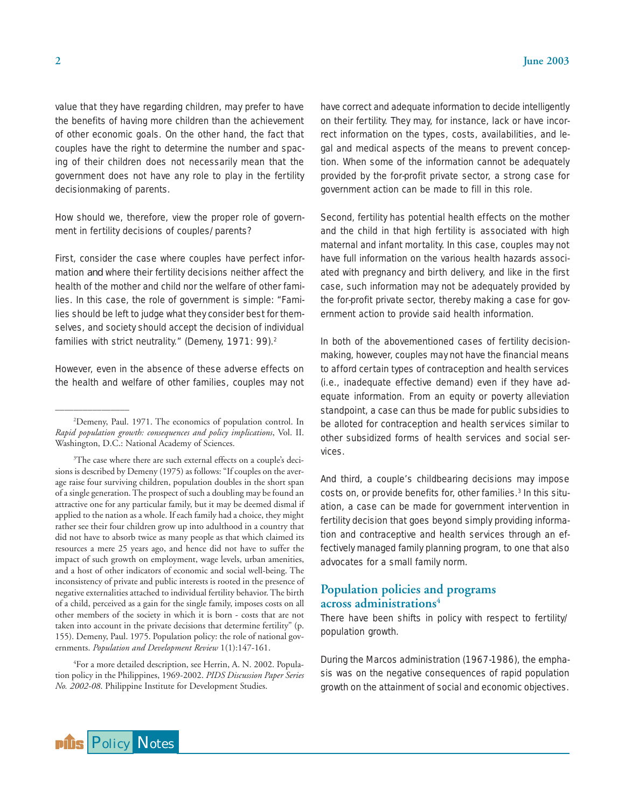value that they have regarding children, may prefer to have the benefits of having more children than the achievement of other economic goals. On the other hand, the fact that couples have the right to determine the number and spacing of their children does not necessarily mean that the government does not have any role to play in the fertility decisionmaking of parents.

How should we, therefore, view the proper role of government in fertility decisions of couples/parents?

First, consider the case where couples have perfect information *and* where their fertility decisions neither affect the health of the mother and child nor the welfare of other families. In this case, the role of government is simple: "Families should be left to judge what they consider best for themselves, and society should accept the decision of individual families with strict neutrality." (Demeny, 1971: 99).<sup>2</sup>

However, even in the absence of these adverse effects on the health and welfare of other families, couples may not

4 For a more detailed description, see Herrin, A. N. 2002. Population policy in the Philippines, 1969-2002. *PIDS Discussion Paper Series No. 2002-08*. Philippine Institute for Development Studies.

have correct and adequate information to decide intelligently on their fertility. They may, for instance, lack or have incorrect information on the types, costs, availabilities, and legal and medical aspects of the means to prevent conception. When some of the information cannot be adequately provided by the for-profit private sector, a strong case for government action can be made to fill in this role.

Second, fertility has potential health effects on the mother and the child in that high fertility is associated with high maternal and infant mortality. In this case, couples may not have full information on the various health hazards associated with pregnancy and birth delivery, and like in the first case, such information may not be adequately provided by the for-profit private sector, thereby making a case for government action to provide said health information.

In both of the abovementioned cases of fertility decisionmaking, however, couples may not have the financial means to afford certain types of contraception and health services (i.e., inadequate effective demand) even if they have adequate information. From an equity or poverty alleviation standpoint, a case can thus be made for public subsidies to be alloted for contraception and health services similar to other subsidized forms of health services and social services.

And third, a couple's childbearing decisions may impose costs on, or provide benefits for, other families.<sup>3</sup> In this situation, a case can be made for government intervention in fertility decision that goes beyond simply providing information and contraceptive and health services through an effectively managed family planning program, to one that also advocates for a small family norm.

## **Population policies and programs across administrations4**

There have been shifts in policy with respect to fertility/ population growth.

During the Marcos administration (1967-1986), the emphasis was on the negative consequences of rapid population growth on the attainment of social and economic objectives.



 $\overline{\phantom{a}}$  , where  $\overline{\phantom{a}}$ 

<sup>2</sup> Demeny, Paul. 1971. The economics of population control. In *Rapid population growth: consequences and policy implications*, Vol. II. Washington, D.C.: National Academy of Sciences.

<sup>&</sup>lt;sup>3</sup>The case where there are such external effects on a couple's decisions is described by Demeny (1975) as follows: "If couples on the average raise four surviving children, population doubles in the short span of a single generation. The prospect of such a doubling may be found an attractive one for any particular family, but it may be deemed dismal if applied to the nation as a whole. If each family had a choice, they might rather see their four children grow up into adulthood in a country that did not have to absorb twice as many people as that which claimed its resources a mere 25 years ago, and hence did not have to suffer the impact of such growth on employment, wage levels, urban amenities, and a host of other indicators of economic and social well-being. The inconsistency of private and public interests is rooted in the presence of negative externalities attached to individual fertility behavior. The birth of a child, perceived as a gain for the single family, imposes costs on all other members of the society in which it is born - costs that are not taken into account in the private decisions that determine fertility" (p. 155). Demeny, Paul. 1975. Population policy: the role of national governments. *Population and Development Review* 1(1):147-161.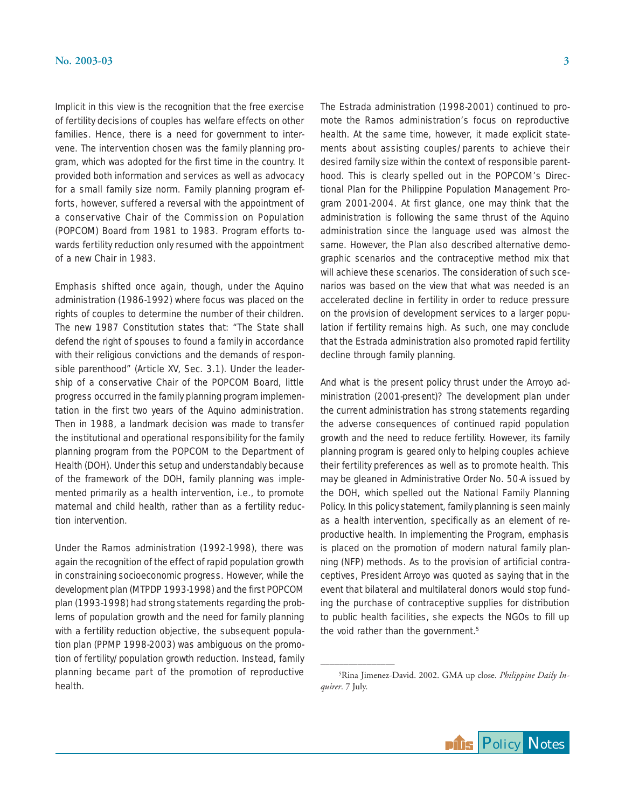Implicit in this view is the recognition that the free exercise of fertility decisions of couples has welfare effects on other families. Hence, there is a need for government to intervene. The intervention chosen was the family planning program, which was adopted for the first time in the country. It provided both information and services as well as advocacy for a small family size norm. Family planning program efforts, however, suffered a reversal with the appointment of a conservative Chair of the Commission on Population (POPCOM) Board from 1981 to 1983. Program efforts towards fertility reduction only resumed with the appointment of a new Chair in 1983.

Emphasis shifted once again, though, under the Aquino administration (1986-1992) where focus was placed on the rights of couples to determine the number of their children. The new 1987 Constitution states that: "The State shall defend the right of spouses to found a family in accordance with their religious convictions and the demands of responsible parenthood" (Article XV, Sec. 3.1). Under the leadership of a conservative Chair of the POPCOM Board, little progress occurred in the family planning program implementation in the first two years of the Aquino administration. Then in 1988, a landmark decision was made to transfer the institutional and operational responsibility for the family planning program from the POPCOM to the Department of Health (DOH). Under this setup and understandably because of the framework of the DOH, family planning was implemented primarily as a health intervention, i.e., to promote maternal and child health, rather than as a fertility reduction intervention.

Under the Ramos administration (1992-1998), there was again the recognition of the effect of rapid population growth in constraining socioeconomic progress. However, while the development plan (MTPDP 1993-1998) and the first POPCOM plan (1993-1998) had strong statements regarding the problems of population growth and the need for family planning with a fertility reduction objective, the subsequent population plan (PPMP 1998-2003) was ambiguous on the promotion of fertility/population growth reduction. Instead, family planning became part of the promotion of reproductive health.

The Estrada administration (1998-2001) continued to promote the Ramos administration's focus on reproductive health. At the same time, however, it made explicit statements about assisting couples/parents to achieve their desired family size within the context of responsible parenthood. This is clearly spelled out in the POPCOM's Directional Plan for the Philippine Population Management Program 2001-2004. At first glance, one may think that the administration is following the same thrust of the Aquino administration since the language used was almost the same. However, the Plan also described alternative demographic scenarios and the contraceptive method mix that will achieve these scenarios. The consideration of such scenarios was based on the view that what was needed is an accelerated decline in fertility in order to reduce pressure on the provision of development services to a larger population if fertility remains high. As such, one may conclude that the Estrada administration also promoted rapid fertility decline through family planning.

And what is the present policy thrust under the Arroyo administration (2001-present)? The development plan under the current administration has strong statements regarding the adverse consequences of continued rapid population growth and the need to reduce fertility. However, its family planning program is geared only to helping couples achieve their fertility preferences as well as to promote health. This may be gleaned in Administrative Order No. 50-A issued by the DOH, which spelled out the National Family Planning Policy. In this policy statement, family planning is seen mainly as a health intervention, specifically as an element of reproductive health. In implementing the Program, emphasis is placed on the promotion of modern natural family planning (NFP) methods. As to the provision of artificial contraceptives, President Arroyo was quoted as saying that in the event that bilateral and multilateral donors would stop funding the purchase of contraceptive supplies for distribution to public health facilities, she expects the NGOs to fill up the void rather than the government.<sup>5</sup>

 $\overline{\phantom{a}}$  , where  $\overline{\phantom{a}}$ 



<sup>5</sup> Rina Jimenez-David. 2002. GMA up close. *Philippine Daily Inquirer*. 7 July.